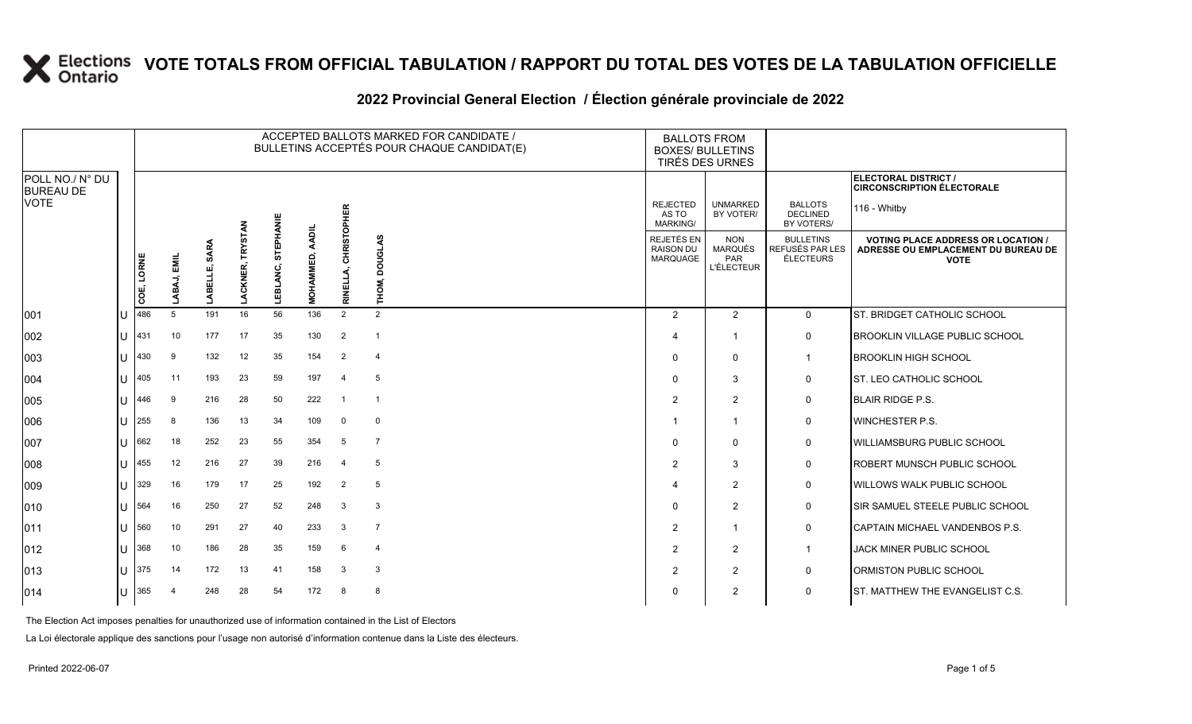#### **2022 Provincial General Election / Élection générale provinciale de 2022**

|                                     |     |            |            |                 |                                  |                         |                                  |                           | ACCEPTED BALLOTS MARKED FOR CANDIDATE /<br>BULLETINS ACCEPTÉS POUR CHAQUE CANDIDAT(E) | <b>BALLOTS FROM</b><br><b>BOXES/ BULLETINS</b> | TIRÉS DES URNES                                          |                                                         |                                                                                                 |  |
|-------------------------------------|-----|------------|------------|-----------------|----------------------------------|-------------------------|----------------------------------|---------------------------|---------------------------------------------------------------------------------------|------------------------------------------------|----------------------------------------------------------|---------------------------------------------------------|-------------------------------------------------------------------------------------------------|--|
| POLL NO./ N° DU<br><b>BUREAU DE</b> |     |            |            |                 |                                  |                         |                                  |                           |                                                                                       |                                                |                                                          |                                                         | ELECTORAL DISTRICT /<br><b>CIRCONSCRIPTION ÉLECTORALE</b>                                       |  |
| <b>VOTE</b>                         |     |            |            |                 |                                  |                         |                                  | ΈR                        |                                                                                       | <b>REJECTED</b><br>AS TO<br><b>MARKING/</b>    | <b>UNMARKED</b><br>BY VOTER/                             | <b>BALLOTS</b><br><b>DECLINED</b><br>BY VOTERS/         | 116 - Whitby                                                                                    |  |
|                                     |     | COE, LORNE | EMIL<br>ۆم | SARA<br>ABELLE, | <b>TRYSTAN</b><br><b>ACKNER,</b> | STEPHANIE<br>LANC,<br>ᇜ | <b>AADIL</b><br><b>MOHAMMED,</b> | <b>CHRISTOP</b><br>靣<br>틡 | <b>DOUGLAS</b><br>THOM,                                                               | REJETÉS EN<br><b>RAISON DU</b><br>MARQUAGE     | <b>NON</b><br><b>MARQUÉS</b><br>PAR<br><b>L'ÉLECTEUR</b> | <b>BULLETINS</b><br>REFUSÉS PAR LES<br><b>ÉLECTEURS</b> | <b>VOTING PLACE ADDRESS OR LOCATION /</b><br>ADRESSE OU EMPLACEMENT DU BUREAU DE<br><b>VOTE</b> |  |
| 001                                 | IU  | 486        | 5          | 191             | 16                               | 56                      | 136                              | 2                         | 2                                                                                     | 2                                              | 2                                                        | $\mathbf 0$                                             | ST. BRIDGET CATHOLIC SCHOOL                                                                     |  |
| 002                                 | lu  | 431        | 10         | 177             | 17                               | 35                      | 130                              | $\overline{2}$            | $\overline{1}$                                                                        |                                                | -1                                                       | 0                                                       | <b>BROOKLIN VILLAGE PUBLIC SCHOOL</b>                                                           |  |
| 003                                 | lU  | 430        | 9          | 132             | 12                               | 35                      | 154                              | $\overline{2}$            | $\overline{4}$                                                                        | $\Omega$                                       | $\mathbf 0$                                              | $\mathbf{1}$                                            | <b>BROOKLIN HIGH SCHOOL</b>                                                                     |  |
| 004                                 | lU  | 405        | 11         | 193             | 23                               | 59                      | 197                              | $\overline{4}$            | 5                                                                                     | $\Omega$                                       | 3                                                        | 0                                                       | <b>ST. LEO CATHOLIC SCHOOL</b>                                                                  |  |
| 005                                 | lu  | 446        | -9         | 216             | 28                               | 50                      | 222                              | $\overline{1}$            | $\overline{1}$                                                                        | 2                                              | $\overline{2}$                                           | 0                                                       | <b>BLAIR RIDGE P.S.</b>                                                                         |  |
| 006                                 | lU  | 255        | 8          | 136             | 13                               | 34                      | 109                              | $\mathbf 0$               | $\mathbf 0$                                                                           |                                                | $\overline{1}$                                           | $\mathbf 0$                                             | <b>WINCHESTER P.S.</b>                                                                          |  |
| 007                                 | lU  | 662        | 18         | 252             | 23                               | 55                      | 354                              | 5                         | $\overline{7}$                                                                        | $\Omega$                                       | $\Omega$                                                 | 0                                                       | <b>WILLIAMSBURG PUBLIC SCHOOL</b>                                                               |  |
| 008                                 | lu  | 455        | 12         | 216             | 27                               | 39                      | 216                              | $\overline{4}$            | 5                                                                                     | $\overline{2}$                                 | 3                                                        | 0                                                       | <b>ROBERT MUNSCH PUBLIC SCHOOL</b>                                                              |  |
| 009                                 | lU  | 329        | 16         | 179             | 17                               | 25                      | 192                              | 2                         | 5                                                                                     |                                                | 2                                                        | $\mathbf 0$                                             | <b>WILLOWS WALK PUBLIC SCHOOL</b>                                                               |  |
| 010                                 | IU  | 564        | 16         | 250             | 27                               | 52                      | 248                              | 3                         | 3                                                                                     | $\Omega$                                       | $\overline{2}$                                           | 0                                                       | SIR SAMUEL STEELE PUBLIC SCHOOL                                                                 |  |
| 011                                 | lu  | 560        | 10         | 291             | 27                               | 40                      | 233                              | 3                         | $\overline{7}$                                                                        | 2                                              | $\overline{\mathbf{1}}$                                  | 0                                                       | CAPTAIN MICHAEL VANDENBOS P.S.                                                                  |  |
| 012                                 | lu  | 368        | 10         | 186             | 28                               | 35                      | 159                              | 6                         | 4                                                                                     | 2                                              | $\overline{2}$                                           | $\mathbf{1}$                                            | JACK MINER PUBLIC SCHOOL                                                                        |  |
| 013                                 | lu  | 375        | 14         | 172             | 13                               | 41                      | 158                              | 3                         | 3                                                                                     | 2                                              | $\overline{2}$                                           | 0                                                       | ORMISTON PUBLIC SCHOOL                                                                          |  |
| 014                                 | lU. | 365        | 4          | 248             | 28                               | 54                      | 172                              | 8                         | 8                                                                                     | $\Omega$                                       | $\overline{2}$                                           | $\mathbf 0$                                             | <b>ST. MATTHEW THE EVANGELIST C.S.</b>                                                          |  |

The Election Act imposes penalties for unauthorized use of information contained in the List of Electors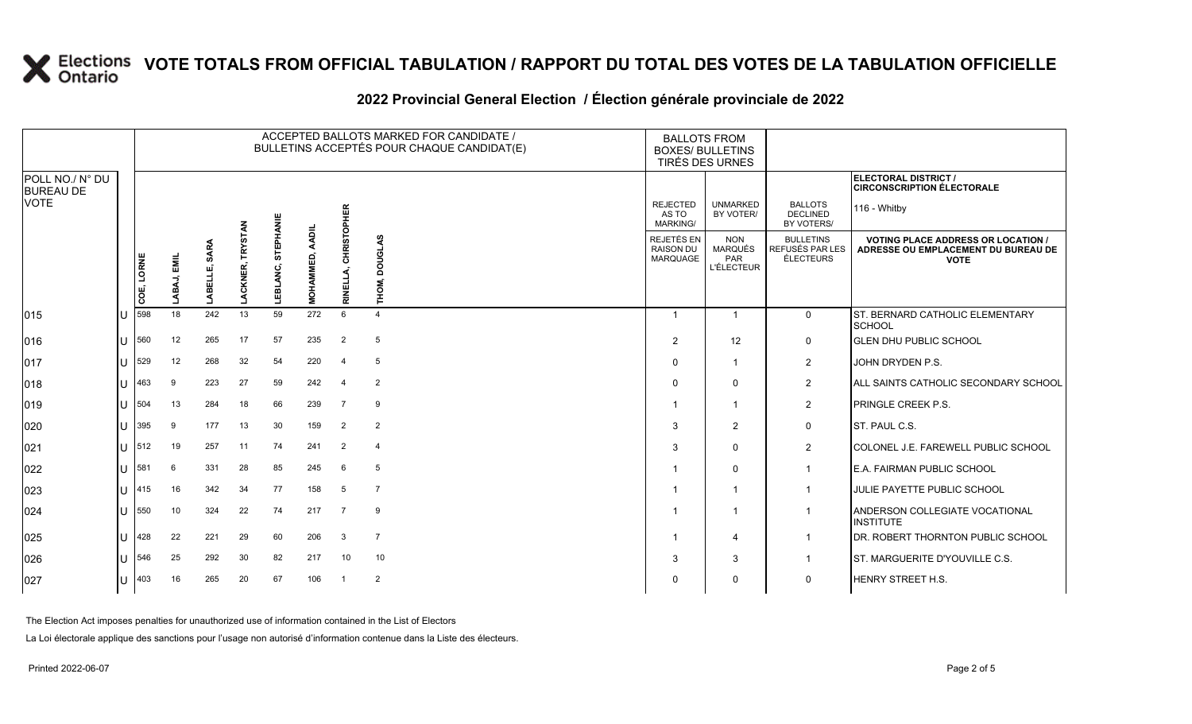### **2022 Provincial General Election / Élection générale provinciale de 2022**

|                                     |              |            |               |        |                                          |         |                            |                         | ACCEPTED BALLOTS MARKED FOR CANDIDATE /<br>BULLETINS ACCEPTÉS POUR CHAQUE CANDIDAT(E) | <b>BALLOTS FROM</b><br><b>BOXES/ BULLETINS</b><br><b>TIRÉS DES URNES</b> |                                                          |                                                  |                                                                                                 |
|-------------------------------------|--------------|------------|---------------|--------|------------------------------------------|---------|----------------------------|-------------------------|---------------------------------------------------------------------------------------|--------------------------------------------------------------------------|----------------------------------------------------------|--------------------------------------------------|-------------------------------------------------------------------------------------------------|
| POLL NO./ N° DU<br><b>BUREAU DE</b> |              |            |               |        |                                          |         |                            |                         |                                                                                       |                                                                          |                                                          |                                                  | <b>ELECTORAL DISTRICT /</b><br><b>CIRCONSCRIPTION ÉLECTORALE</b>                                |
| <b>VOTE</b>                         |              |            |               |        |                                          | EPHANIE |                            |                         |                                                                                       | <b>REJECTED</b><br>AS TO<br><b>MARKING/</b>                              | <b>UNMARKED</b><br>BY VOTER/                             | <b>BALLOTS</b><br><b>DECLINED</b><br>BY VOTERS/  | 116 - Whitby                                                                                    |
|                                     |              | COE, LORNE | EMIL<br>ABAJ, | S<br>w | ່ທ<br>Ë<br>KNER,<br>$\overline{\bullet}$ | 5<br>面  | <b>ADIL</b><br>AMMED,<br>ż | <b>CHRISTOPHER</b><br>즕 | <b>POUGLAS</b><br>δŃ,<br>臣                                                            | REJETÉS EN<br><b>RAISON DU</b><br><b>MARQUAGE</b>                        | <b>NON</b><br><b>MARQUÉS</b><br>PAR<br><b>L'ÉLECTEUR</b> | <b>BULLETINS</b><br>REFUSÉS PAR LES<br>ÉLECTEURS | <b>VOTING PLACE ADDRESS OR LOCATION /</b><br>ADRESSE OU EMPLACEMENT DU BUREAU DE<br><b>VOTE</b> |
| 015                                 | ΠT           | 598        | 18            | 242    | 13                                       | 59      | 272                        | 6                       | $\overline{4}$                                                                        | $\overline{1}$                                                           | $\overline{1}$                                           | $\mathbf{0}$                                     | ST. BERNARD CATHOLIC ELEMENTARY<br><b>SCHOOL</b>                                                |
| 016                                 | $\mathbf{U}$ | 560        | 12            | 265    | 17                                       | 57      | 235                        | $\overline{2}$          | 5                                                                                     | $\overline{2}$                                                           | 12                                                       | 0                                                | <b>GLEN DHU PUBLIC SCHOOL</b>                                                                   |
| 017                                 | ΠT           | 529        | 12            | 268    | 32                                       | 54      | 220                        | $\overline{4}$          | 5                                                                                     | $\Omega$                                                                 |                                                          | $\overline{2}$                                   | JOHN DRYDEN P.S.                                                                                |
| 018                                 | lU           | 463        | 9             | 223    | 27                                       | 59      | 242                        | $\overline{4}$          | 2                                                                                     | $\Omega$                                                                 | $\Omega$                                                 | $\overline{c}$                                   | ALL SAINTS CATHOLIC SECONDARY SCHOOL                                                            |
| 019                                 | U            | 504        | 13            | 284    | 18                                       | 66      | 239                        | $\overline{7}$          | 9                                                                                     |                                                                          | -1                                                       | 2                                                | PRINGLE CREEK P.S.                                                                              |
| 020                                 | Ш            | 395        | 9             | 177    | 13                                       | 30      | 159                        | 2                       | 2                                                                                     | 3                                                                        | 2                                                        | $\mathbf 0$                                      | ST. PAUL C.S.                                                                                   |
| 021                                 | lu           | 512        | 19            | 257    | 11                                       | 74      | 241                        | $\overline{2}$          | $\overline{4}$                                                                        | 3                                                                        | $\Omega$                                                 | $\overline{2}$                                   | COLONEL J.E. FAREWELL PUBLIC SCHOOL                                                             |
| 022                                 |              | $U$ 581    | 6             | 331    | 28                                       | 85      | 245                        | 6                       | 5                                                                                     |                                                                          | $\mathbf 0$                                              | -1                                               | E.A. FAIRMAN PUBLIC SCHOOL                                                                      |
| 023                                 | lu           | 415        | 16            | 342    | 34                                       | 77      | 158                        | 5                       | $\overline{7}$                                                                        |                                                                          |                                                          | $\mathbf 1$                                      | JULIE PAYETTE PUBLIC SCHOOL                                                                     |
| 024                                 | Ш            | 550        | 10            | 324    | 22                                       | 74      | 217                        | $\overline{7}$          | 9                                                                                     |                                                                          |                                                          | -1                                               | ANDERSON COLLEGIATE VOCATIONAL<br><b>INSTITUTE</b>                                              |
| 025                                 | $\mathbf{U}$ | 428        | 22            | 221    | 29                                       | 60      | 206                        | 3                       | $\overline{7}$                                                                        |                                                                          | $\boldsymbol{\Delta}$                                    | $\overline{1}$                                   | DR. ROBERT THORNTON PUBLIC SCHOOL                                                               |
| 026                                 | ПT           | 546        | 25            | 292    | 30                                       | 82      | 217                        | 10                      | 10                                                                                    | 3                                                                        | 3                                                        | -1                                               | ST. MARGUERITE D'YOUVILLE C.S.                                                                  |
| 027                                 | $\mathbf{U}$ | 403        | 16            | 265    | 20                                       | 67      | 106                        | - 1                     | $\overline{2}$                                                                        | $\Omega$                                                                 | 0                                                        | $\mathbf 0$                                      | HENRY STREET H.S.                                                                               |

The Election Act imposes penalties for unauthorized use of information contained in the List of Electors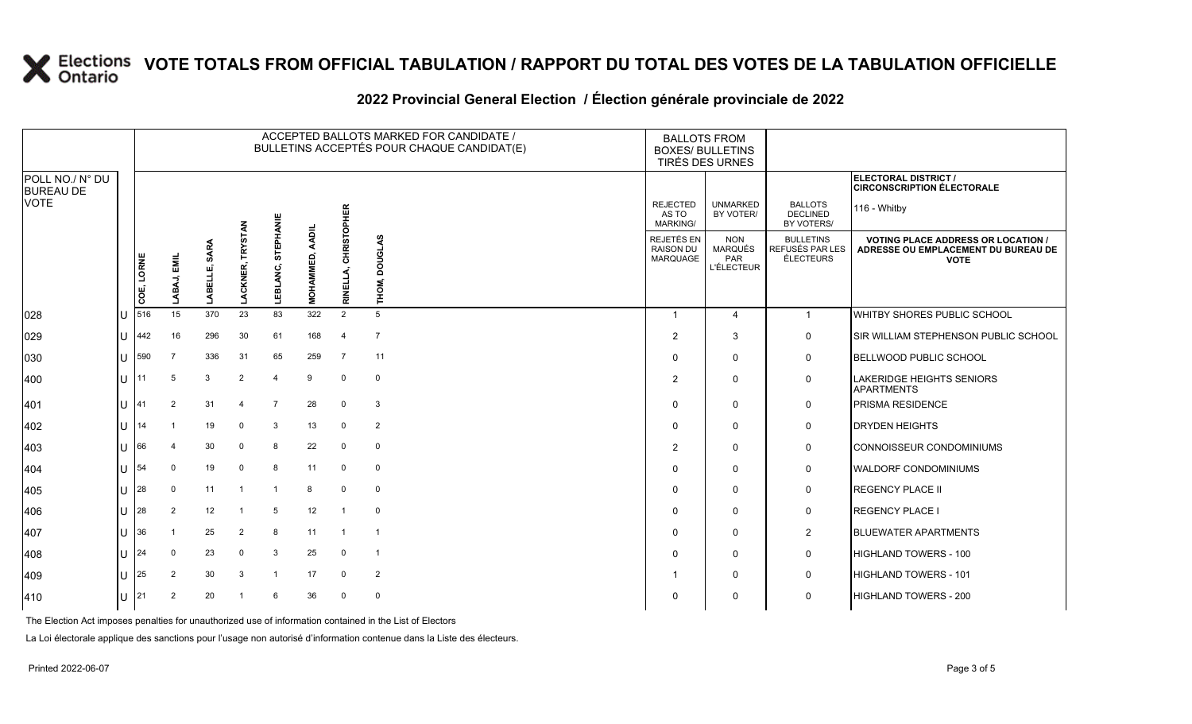#### **2022 Provincial General Election / Élection générale provinciale de 2022**

|                                     |    |            |                |                |                            |                           |                                      |                           | ACCEPTED BALLOTS MARKED FOR CANDIDATE /<br>BULLETINS ACCEPTÉS POUR CHAQUE CANDIDAT(E) |                                             | <b>BALLOTS FROM</b><br><b>BOXES/ BULLETINS</b><br>TIRÉS DES URNES |                                                         |                                                                                                 |
|-------------------------------------|----|------------|----------------|----------------|----------------------------|---------------------------|--------------------------------------|---------------------------|---------------------------------------------------------------------------------------|---------------------------------------------|-------------------------------------------------------------------|---------------------------------------------------------|-------------------------------------------------------------------------------------------------|
| POLL NO./ N° DU<br><b>BUREAU DE</b> |    |            |                |                |                            |                           |                                      |                           |                                                                                       |                                             |                                                                   |                                                         | ELECTORAL DISTRICT /<br><b>CIRCONSCRIPTION ÉLECTORALE</b>                                       |
| <b>VOTE</b>                         |    |            |                |                |                            |                           |                                      | ÆК                        |                                                                                       | <b>REJECTED</b><br>AS TO<br><b>MARKING/</b> | <b>UNMARKED</b><br>BY VOTER/                                      | <b>BALLOTS</b><br><b>DECLINED</b><br>BY VOTERS/         | 116 - Whitby                                                                                    |
|                                     |    | COE, LORNE | LABAJ, EMIL    | SARA<br>LABELL | TRYSTAN<br><b>LACKNER,</b> | STEPHANIE<br>EBLANC,<br>┙ | <b>AADIL</b><br>AMMED,<br><b>HOH</b> | <b>CHRISTOP</b><br>RINELL | <b>DOUGLAS</b><br>THOM,                                                               | REJETÉS EN<br><b>RAISON DU</b><br>MARQUAGE  | <b>NON</b><br>MARQUÉS<br><b>PAR</b><br><b>L'ÉLECTEUR</b>          | <b>BULLETINS</b><br>REFUSÉS PAR LES<br><b>ÉLECTEURS</b> | <b>VOTING PLACE ADDRESS OR LOCATION /</b><br>ADRESSE OU EMPLACEMENT DU BUREAU DE<br><b>VOTE</b> |
| 028                                 | lu | 516        | 15             | 370            | 23                         | 83                        | 322                                  | 2                         | 5                                                                                     |                                             | $\overline{4}$                                                    | $\mathbf{1}$                                            | WHITBY SHORES PUBLIC SCHOOL                                                                     |
| 029                                 | ΙU | 442        | 16             | 296            | 30                         | 61                        | 168                                  | $\overline{4}$            | $\overline{7}$                                                                        | $\overline{2}$                              | 3                                                                 | $\mathbf 0$                                             | SIR WILLIAM STEPHENSON PUBLIC SCHOOL                                                            |
| 030                                 | lu | 590        |                | 336            | 31                         | 65                        | 259                                  | $\overline{7}$            | 11                                                                                    | $\Omega$                                    | $\mathbf 0$                                                       | $\mathsf{O}$                                            | <b>BELLWOOD PUBLIC SCHOOL</b>                                                                   |
| 400                                 | lu | 11         | 5              | 3              | 2                          | $\overline{4}$            | 9                                    | $\mathbf 0$               | $\mathbf 0$                                                                           | $\overline{2}$                              | $\mathbf 0$                                                       | $\mathbf 0$                                             | <b>LAKERIDGE HEIGHTS SENIORS</b><br><b>APARTMENTS</b>                                           |
| 401                                 | lu | 41         | $\overline{2}$ | 31             | $\overline{4}$             | $\overline{7}$            | 28                                   | $\mathbf 0$               | 3                                                                                     | $\Omega$                                    | $\mathbf 0$                                                       | $\mathbf 0$                                             | <b>PRISMA RESIDENCE</b>                                                                         |
| 402                                 | lu | 14         |                | 19             | $\Omega$                   | 3                         | 13                                   | $\mathbf 0$               | $\overline{2}$                                                                        | $\Omega$                                    | $\mathbf 0$                                                       | $\mathbf 0$                                             | <b>DRYDEN HEIGHTS</b>                                                                           |
| 403                                 | lU | 66         |                | 30             | 0                          | 8                         | 22                                   | $\mathbf 0$               | $\mathbf 0$                                                                           | $\overline{2}$                              | $\mathbf 0$                                                       | $\mathsf{O}$                                            | CONNOISSEUR CONDOMINIUMS                                                                        |
| 404                                 | lu | 54         | 0              | 19             | 0                          | 8                         | 11                                   | $\mathbf 0$               | $\mathbf 0$                                                                           | $\Omega$                                    | $\mathbf 0$                                                       | $\mathsf{O}$                                            | <b>WALDORF CONDOMINIUMS</b>                                                                     |
| 405                                 | lu | 28         | $\mathbf 0$    | 11             | $\overline{1}$             | $\overline{1}$            | 8                                    | $\mathbf 0$               | $\mathbf 0$                                                                           | $\Omega$                                    | $\mathbf 0$                                                       | $\mathbf 0$                                             | <b>REGENCY PLACE II</b>                                                                         |
| 406                                 | lΠ | 28         | 2              | 12             | -1                         | 5                         | 12                                   | $\overline{1}$            | $\mathbf 0$                                                                           | $\Omega$                                    | $\mathbf 0$                                                       | $\mathsf{O}$                                            | <b>REGENCY PLACE I</b>                                                                          |
| 407                                 | lu | 36         |                | 25             | 2                          | 8                         | 11                                   | -1                        | -1                                                                                    | $\Omega$                                    | $\Omega$                                                          | 2                                                       | <b>BLUEWATER APARTMENTS</b>                                                                     |
| 408                                 | lu | 24         | 0              | 23             | $\Omega$                   | 3                         | 25                                   | $\mathbf 0$               | $\overline{1}$                                                                        | $\Omega$                                    | $\mathbf 0$                                                       | $\mathsf{O}$                                            | HIGHLAND TOWERS - 100                                                                           |
| 409                                 | ΙU | 25         | 2              | 30             | 3                          | $\overline{1}$            | 17                                   | $\mathbf 0$               | $\overline{2}$                                                                        |                                             | $\mathbf 0$                                                       | $\mathbf 0$                                             | HIGHLAND TOWERS - 101                                                                           |
| 410                                 | ΙU | 21         | 2              | 20             | -1                         | 6                         | 36                                   | $\mathbf 0$               | $\mathbf 0$                                                                           | $\Omega$                                    | 0                                                                 | $\mathsf{O}$                                            | <b>HIGHLAND TOWERS - 200</b>                                                                    |

The Election Act imposes penalties for unauthorized use of information contained in the List of Electors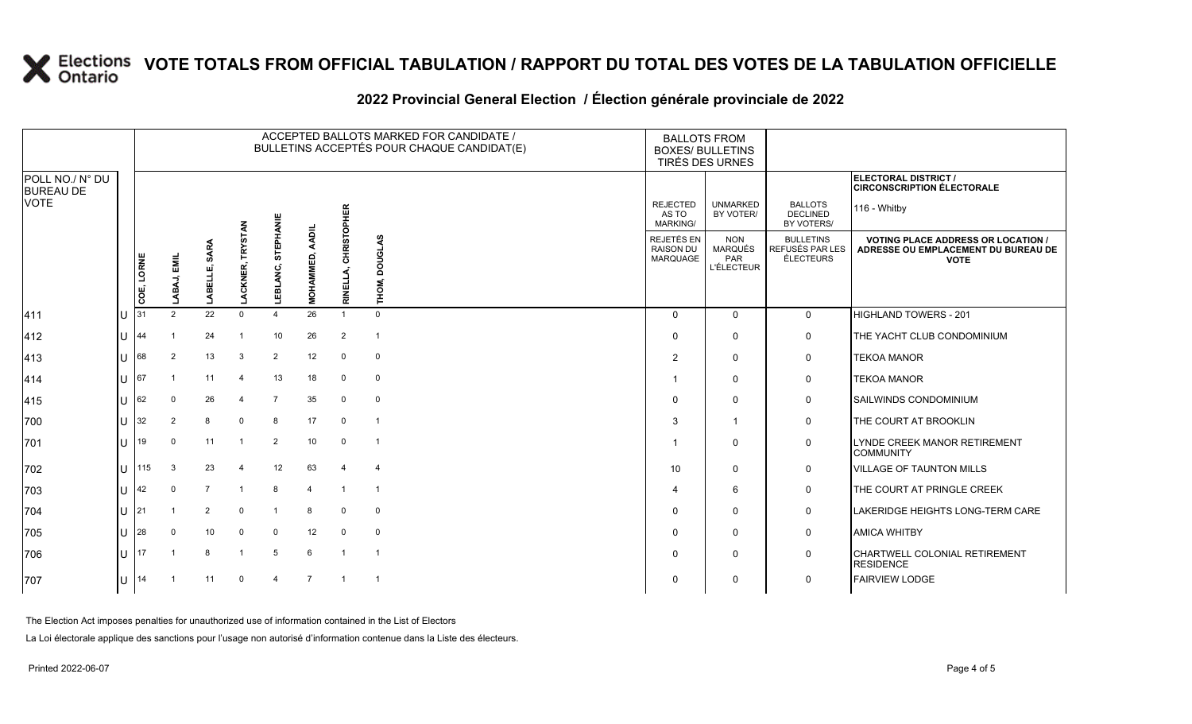#### **2022 Provincial General Election / Élection générale provinciale de 2022**

|                                     |     |            |                |                  |                                   |                       |                             |                 | ACCEPTED BALLOTS MARKED FOR CANDIDATE /<br>BULLETINS ACCEPTÉS POUR CHAQUE CANDIDAT(E) | <b>BALLOTS FROM</b><br><b>BOXES/ BULLETINS</b> | TIRÉS DES URNES                                          |                                                         |                                                                                                 |  |
|-------------------------------------|-----|------------|----------------|------------------|-----------------------------------|-----------------------|-----------------------------|-----------------|---------------------------------------------------------------------------------------|------------------------------------------------|----------------------------------------------------------|---------------------------------------------------------|-------------------------------------------------------------------------------------------------|--|
| POLL NO./ N° DU<br><b>BUREAU DE</b> |     |            |                |                  |                                   |                       |                             |                 |                                                                                       |                                                |                                                          |                                                         | ELECTORAL DISTRICT /<br><b>CIRCONSCRIPTION ÉLECTORALE</b>                                       |  |
| <b>VOTE</b>                         |     |            |                |                  |                                   |                       |                             | ÆК              |                                                                                       | <b>REJECTED</b><br>AS TO<br>MARKING/           | <b>UNMARKED</b><br>BY VOTER/                             | <b>BALLOTS</b><br><b>DECLINED</b><br>BY VOTERS/         | 116 - Whitby                                                                                    |  |
|                                     |     | COE, LORNE | LABAJ, EMIL    | SARA<br>LABELLE, | <b>TRYSTAN</b><br><b>LACKNER,</b> | STEPHANIE<br>LEBLANC, | AADIL<br><b>AMMED,</b><br>ᅙ | CHRISTOP<br>RIN | <b>DOUGLAS</b><br>THOM,                                                               | REJETÉS EN<br><b>RAISON DU</b><br>MARQUAGE     | <b>NON</b><br><b>MARQUÉS</b><br>PAR<br><b>L'ÉLECTEUR</b> | <b>BULLETINS</b><br>REFUSÉS PAR LES<br><b>ÉLECTEURS</b> | <b>VOTING PLACE ADDRESS OR LOCATION /</b><br>ADRESSE OU EMPLACEMENT DU BUREAU DE<br><b>VOTE</b> |  |
| 411                                 | lu  | 31         | 2              | 22               | $\Omega$                          | $\overline{4}$        | 26                          |                 | $\mathbf 0$                                                                           | $\Omega$                                       | $\mathbf 0$                                              | $\overline{0}$                                          | HIGHLAND TOWERS - 201                                                                           |  |
| 412                                 | lu  | 44         |                | 24               | $\overline{1}$                    | 10                    | 26                          | 2               | $\overline{1}$                                                                        | $\Omega$                                       | $\mathbf 0$                                              | $\mathbf 0$                                             | THE YACHT CLUB CONDOMINIUM                                                                      |  |
| $ 413\rangle$                       | lu  | 68         | $\overline{2}$ | 13               | 3                                 | $\overline{2}$        | 12                          | $\mathbf 0$     | $\mathbf 0$                                                                           | 2                                              | $\mathbf 0$                                              | $\mathbf 0$                                             | <b>TEKOA MANOR</b>                                                                              |  |
| 414                                 | lu  | 67         | $\overline{1}$ | 11               |                                   | 13                    | 18                          | $\mathbf 0$     | $\mathbf 0$                                                                           |                                                | $\Omega$                                                 | $\mathsf{O}$                                            | <b>TEKOA MANOR</b>                                                                              |  |
| 415                                 | lu  | 62         | $\Omega$       | 26               | $\overline{4}$                    | $\overline{7}$        | 35                          | $\mathbf 0$     | $\mathbf 0$                                                                           | $\mathbf{0}$                                   | $\Omega$                                                 | $\mathbf 0$                                             | <b>SAILWINDS CONDOMINIUM</b>                                                                    |  |
| 700                                 | lu  | 32         | $\overline{2}$ | 8                | $\Omega$                          | 8                     | 17                          | $\mathbf 0$     | $\overline{1}$                                                                        | 3                                              | $\overline{1}$                                           | $\mathsf{O}$                                            | THE COURT AT BROOKLIN                                                                           |  |
| 701                                 | lu  | 19         | 0              | 11               | $\mathbf{1}$                      | 2                     | 10 <sup>°</sup>             | $\mathbf 0$     | $\mathbf{1}$                                                                          |                                                | $\Omega$                                                 | $\mathbf 0$                                             | LYNDE CREEK MANOR RETIREMENT<br><b>COMMUNITY</b>                                                |  |
| 702                                 | lu. | 115        | $\mathbf{3}$   | 23               | $\overline{4}$                    | 12                    | 63                          | $\overline{4}$  | $\overline{4}$                                                                        | 10                                             | $\mathbf 0$                                              | $\mathsf{O}$                                            | <b>VILLAGE OF TAUNTON MILLS</b>                                                                 |  |
| 703                                 | lu  | 42         | $\Omega$       | $\overline{7}$   |                                   | 8                     | $\mathbf 4$                 | $\overline{1}$  | $\overline{1}$                                                                        | 4                                              | 6                                                        | $\mathbf 0$                                             | THE COURT AT PRINGLE CREEK                                                                      |  |
| 704                                 | lu  | 21         |                | 2                | 0                                 | $\overline{1}$        | 8                           | $\mathbf 0$     | $\mathbf 0$                                                                           | $\Omega$                                       | $\Omega$                                                 | $\mathbf 0$                                             | LAKERIDGE HEIGHTS LONG-TERM CARE                                                                |  |
| 705                                 | lu  | 28         | 0              | 10               | 0                                 | $\mathbf 0$           | 12                          | $\mathbf 0$     | 0                                                                                     | $\Omega$                                       | $\mathbf 0$                                              | $\mathsf{O}$                                            | <b>AMICA WHITBY</b>                                                                             |  |
| 706                                 | lu  | 17         |                | 8                | $\mathbf{1}$                      | 5                     | 6                           | $\overline{1}$  | $\overline{1}$                                                                        | $\Omega$                                       | $\Omega$                                                 | $\mathsf{O}$                                            | CHARTWELL COLONIAL RETIREMENT<br><b>RESIDENCE</b>                                               |  |
| 707                                 | lu  | 14         |                | 11               | $\Omega$                          | $\overline{4}$        | $\overline{7}$              | $\overline{1}$  | $\mathbf{1}$                                                                          | $\Omega$                                       | $\mathbf 0$                                              | $\mathbf 0$                                             | <b>FAIRVIEW LODGE</b>                                                                           |  |

The Election Act imposes penalties for unauthorized use of information contained in the List of Electors